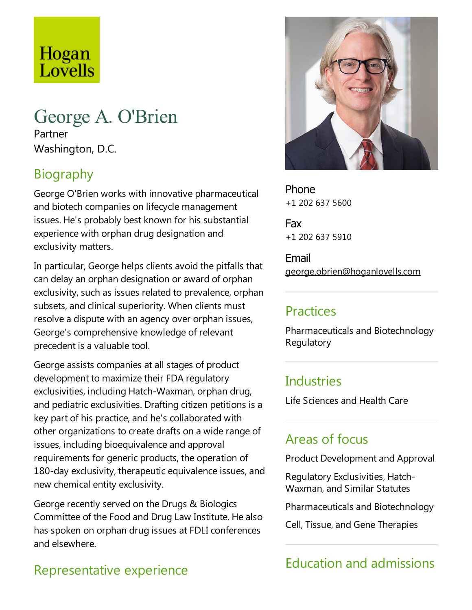# Hogan Lovells

# George A. O'Brien

Partner Washington, D.C.

# Biography

George O'Brien works with innovative pharmaceutical and biotech companies on lifecycle management issues. He's probably best known for his substantial experience with orphan drug designation and exclusivity matters.

In particular, George helps clients avoid the pitfalls that can delay an orphan designation or award of orphan exclusivity, such as issues related to prevalence, orphan subsets, and clinical superiority. When clients must resolve a dispute with an agency over orphan issues, George's comprehensive knowledge of relevant precedent is a valuable tool.

George assists companies at all stages of product development to maximize their FDA regulatory exclusivities, including Hatch-Waxman, orphan drug, and pediatric exclusivities. Drafting citizen petitions is a key part of his practice, and he's collaborated with other organizations to create drafts on a wide range of issues, including bioequivalence and approval requirements for generic products, the operation of 180-day exclusivity, therapeutic equivalence issues, and new chemical entity exclusivity.

George recently served on the Drugs & Biologics Committee of the Food and Drug Law Institute. He also has spoken on orphan drug issues at FDLI conferences and elsewhere.

# Representative experience



Phone +1 202 637 5600

Fax +1 202 637 5910

Email george.obrien@hoganlovells.com

## Practices

Pharmaceuticals and Biotechnology Regulatory

### **Industries**

Life Sciences and Health Care

# Areas of focus

Product Development and Approval

Regulatory Exclusivities, Hatch-Waxman, and Similar Statutes

Pharmaceuticals and Biotechnology

Cell, Tissue, and Gene Therapies

# Education and admissions